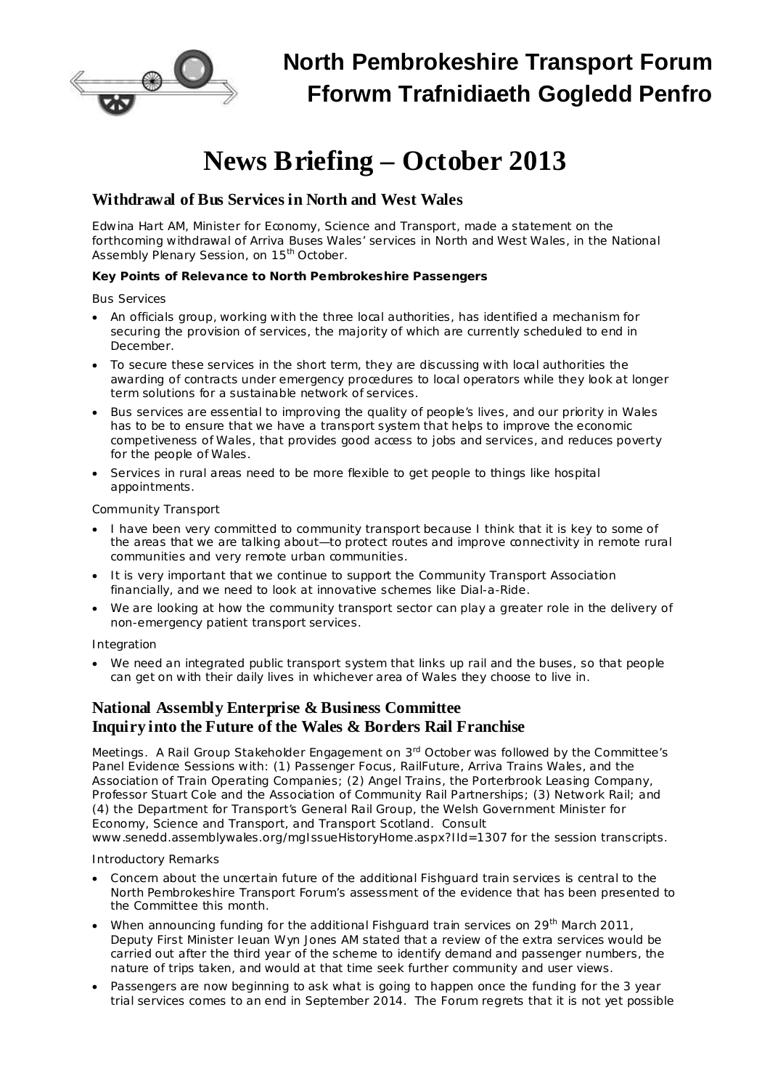

# **News Briefing – October 2013**

# **Withdrawal of Bus Services in North and West Wales**

Edwina Hart AM, Minister for Economy, Science and Transport, made a statement on the forthcoming withdrawal of Arriva Buses Wales' services in North and West Wales, in the National Assembly Plenary Session, on 15<sup>th</sup> October.

**Key Points of Relevance to North Pembrokeshire Passengers**

## *Bus Services*

- · An officials group, working with the three local authorities, has identified a mechanism for securing the provision of services, the majority of which are currently scheduled to end in December.
- · To secure these services in the short term, they are discussing with local authorities the awarding of contracts under emergency procedures to local operators while they look at longer term solutions for a sustainable network of services.
- · Bus services are essential to improving the quality of people's lives, and our priority in Wales has to be to ensure that we have a transport system that helps to improve the economic competiveness of Wales, that provides good access to jobs and services, and reduces poverty for the people of Wales.
- · Services in rural areas need to be more flexible to get people to things like hospital appointments.

## *Community Transport*

- · I have been very committed to community transport because I think that it is key to some of the areas that we are talking about—to protect routes and improve connectivity in remote rural communities and very remote urban communities.
- · It is very important that we continue to support the Community Transport Association financially, and we need to look at innovative schemes like Dial-a-Ride.
- We are looking at how the community transport sector can play a greater role in the delivery of non-emergency patient transport services.

## *Integration*

We need an integrated public transport system that links up rail and the buses, so that people can get on with their daily lives in whichever area of Wales they choose to live in.

## **National Assembly Enterprise & Business Committee Inquiry into the Future of the Wales & Borders Rail Franchise**

Meetings. A Rail Group Stakeholder Engagement on 3<sup>rd</sup> October was followed by the Committee's Panel Evidence Sessions with: (1) Passenger Focus, RailFuture, Arriva Trains Wales, and the Association of Train Operating Companies; (2) Angel Trains, the Porterbrook Leasing Company, Professor Stuart Cole and the Association of Community Rail Partnerships; (3) Network Rail; and (4) the Department for Transport's General Rail Group, the Welsh Government Minister for Economy, Science and Transport, and Transport Scotland. Consult

[www.senedd.assemblywales.org/mgIssueHistoryHome.aspx?IId=1307](http://www.senedd.assemblywales.org/mgIssueHistoryHome.aspx?IId=1307) for the session transcripts.

#### *Introductory Remarks*

- · Concern about the uncertain future of the additional Fishguard train services is central to the North Pembrokeshire Transport Forum's assessment of the evidence that has been presented to the Committee this month.
- When announcing funding for the additional Fishguard train services on 29<sup>th</sup> March 2011, Deputy First Minister Ieuan Wyn Jones AM stated that a review of the extra services would be carried out after the third year of the scheme to identify demand and passenger numbers, the nature of trips taken, and would at that time seek further community and user views.
- · Passengers are now beginning to ask what is going to happen once the funding for the 3 year trial services comes to an end in September 2014. The Forum regrets that it is not yet possible